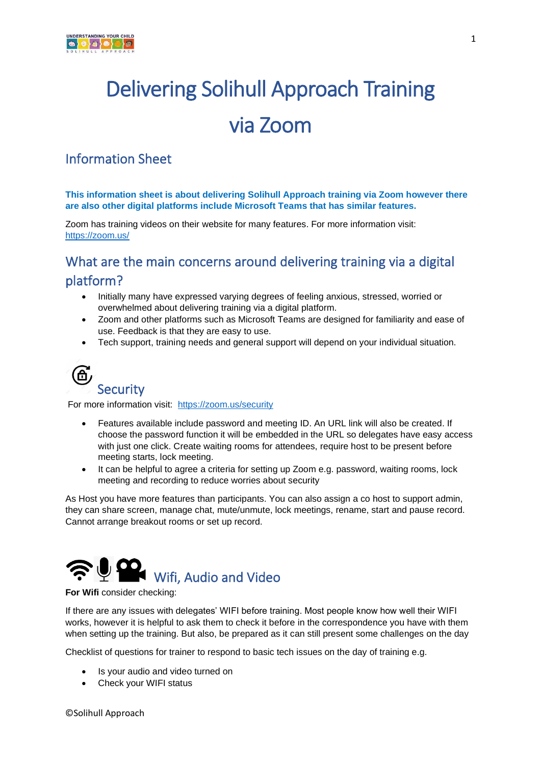

# Delivering Solihull Approach Training via Zoom

## Information Sheet

**This information sheet is about delivering Solihull Approach training via Zoom however there are also other digital platforms include Microsoft Teams that has similar features.**

Zoom has training videos on their website for many features. For more information visit: <https://zoom.us/>

## What are the main concerns around delivering training via a digital platform?

- Initially many have expressed varying degrees of feeling anxious, stressed, worried or overwhelmed about delivering training via a digital platform.
- Zoom and other platforms such as Microsoft Teams are designed for familiarity and ease of use. Feedback is that they are easy to use.
- Tech support, training needs and general support will depend on your individual situation.



# **Security**

For more information visit: <https://zoom.us/security>

- Features available include password and meeting ID. An URL link will also be created. If choose the password function it will be embedded in the URL so delegates have easy access with just one click. Create waiting rooms for attendees, require host to be present before meeting starts, lock meeting.
- It can be helpful to agree a criteria for setting up Zoom e.g. password, waiting rooms, lock meeting and recording to reduce worries about security

As Host you have more features than participants. You can also assign a co host to support admin, they can share screen, manage chat, mute/unmute, lock meetings, rename, start and pause record. Cannot arrange breakout rooms or set up record.



#### **For Wifi** consider checking:

If there are any issues with delegates' WIFI before training. Most people know how well their WIFI works, however it is helpful to ask them to check it before in the correspondence you have with them when setting up the training. But also, be prepared as it can still present some challenges on the day

Checklist of questions for trainer to respond to basic tech issues on the day of training e.g.

- Is your audio and video turned on
- Check your WIFI status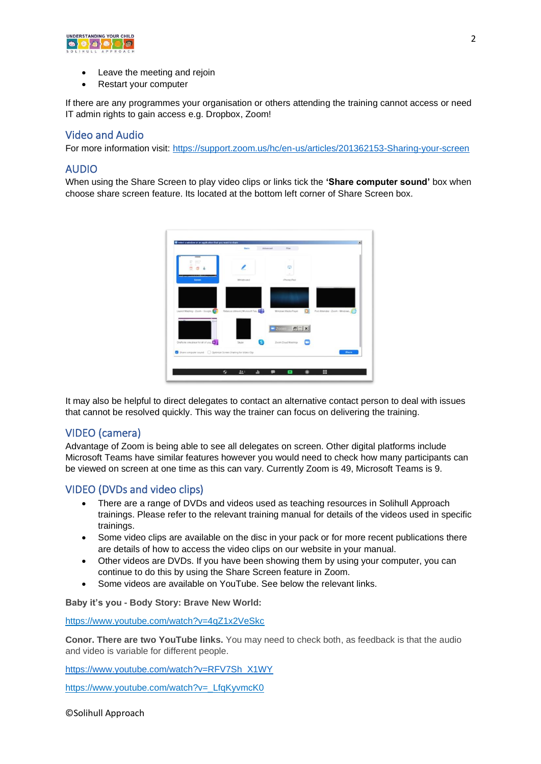

- Leave the meeting and rejoin
- Restart your computer

If there are any programmes your organisation or others attending the training cannot access or need IT admin rights to gain access e.g. Dropbox, Zoom!

#### Video and Audio

For more information visit:<https://support.zoom.us/hc/en-us/articles/201362153-Sharing-your-screen>

#### AUDIO

When using the Share Screen to play video clips or links tick the **'Share computer sound'** box when choose share screen feature. Its located at the bottom left corner of Share Screen box.



It may also be helpful to direct delegates to contact an alternative contact person to deal with issues that cannot be resolved quickly. This way the trainer can focus on delivering the training.

#### VIDEO (camera)

Advantage of Zoom is being able to see all delegates on screen. Other digital platforms include Microsoft Teams have similar features however you would need to check how many participants can be viewed on screen at one time as this can vary. Currently Zoom is 49, Microsoft Teams is 9.

#### VIDEO (DVDs and video clips)

- There are a range of DVDs and videos used as teaching resources in Solihull Approach trainings. Please refer to the relevant training manual for details of the videos used in specific trainings.
- Some video clips are available on the disc in your pack or for more recent publications there are details of how to access the video clips on our website in your manual.
- Other videos are DVDs. If you have been showing them by using your computer, you can continue to do this by using the Share Screen feature in Zoom.
- Some videos are available on YouTube. See below the relevant links.

**Baby it's you - Body Story: Brave New World:** 

<https://www.youtube.com/watch?v=4qZ1x2VeSkc>

**Conor. There are two YouTube links.** You may need to check both, as feedback is that the audio and video is variable for different people.

[https://www.youtube.com/watch?v=RFV7Sh\\_X1WY](https://www.youtube.com/watch?v=RFV7Sh_X1WY%20(sound%20quality%20is%20glitchy%20but%20video%20quality%20is%20good)) 

[https://www.youtube.com/watch?v=\\_LfqKyvmcK0](https://www.youtube.com/watch?v=_LfqKyvmcK0)

©Solihull Approach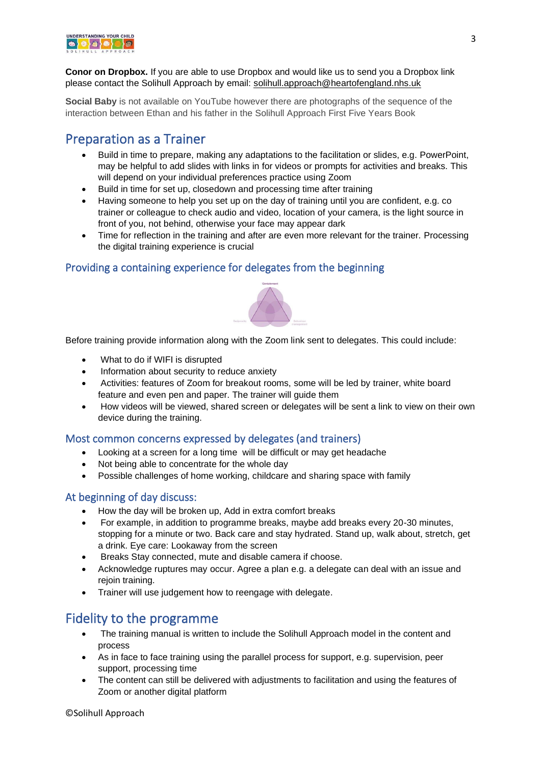

**Conor on Dropbox.** If you are able to use Dropbox and would like us to send you a Dropbox link please contact the Solihull Approach by email: [solihull.approach@heartofengland.nhs.uk](mailto:solihull.approach@heartofengland.nhs.uk)

**Social Baby** is not available on YouTube however there are photographs of the sequence of the interaction between Ethan and his father in the Solihull Approach First Five Years Book

## Preparation as a Trainer

- Build in time to prepare, making any adaptations to the facilitation or slides, e.g. PowerPoint, may be helpful to add slides with links in for videos or prompts for activities and breaks. This will depend on your individual preferences practice using Zoom
- Build in time for set up, closedown and processing time after training
- Having someone to help you set up on the day of training until you are confident, e.g. co trainer or colleague to check audio and video, location of your camera, is the light source in front of you, not behind, otherwise your face may appear dark
- Time for reflection in the training and after are even more relevant for the trainer. Processing the digital training experience is crucial

#### Providing a containing experience for delegates from the beginning



Before training provide information along with the Zoom link sent to delegates. This could include:

- What to do if WIFI is disrupted
- Information about security to reduce anxiety
- Activities: features of Zoom for breakout rooms, some will be led by trainer, white board feature and even pen and paper. The trainer will guide them
- How videos will be viewed, shared screen or delegates will be sent a link to view on their own device during the training.

#### Most common concerns expressed by delegates (and trainers)

- Looking at a screen for a long time will be difficult or may get headache
- Not being able to concentrate for the whole day
- Possible challenges of home working, childcare and sharing space with family

#### At beginning of day discuss:

- How the day will be broken up, Add in extra comfort breaks
- For example, in addition to programme breaks, maybe add breaks every 20-30 minutes, stopping for a minute or two. Back care and stay hydrated. Stand up, walk about, stretch, get a drink. Eye care: Lookaway from the screen
- Breaks Stay connected, mute and disable camera if choose.
- Acknowledge ruptures may occur. Agree a plan e.g. a delegate can deal with an issue and rejoin training.
- Trainer will use judgement how to reengage with delegate.

## Fidelity to the programme

- The training manual is written to include the Solihull Approach model in the content and process
- As in face to face training using the parallel process for support, e.g. supervision, peer support, processing time
- The content can still be delivered with adjustments to facilitation and using the features of Zoom or another digital platform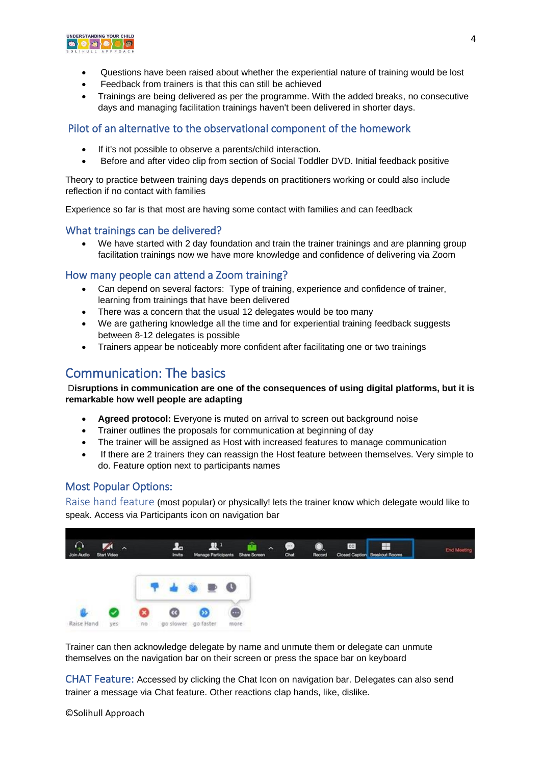

- Questions have been raised about whether the experiential nature of training would be lost
- Feedback from trainers is that this can still be achieved
- Trainings are being delivered as per the programme. With the added breaks, no consecutive days and managing facilitation trainings haven't been delivered in shorter days.

#### Pilot of an alternative to the observational component of the homework

- If it's not possible to observe a parents/child interaction.
- Before and after video clip from section of Social Toddler DVD. Initial feedback positive

Theory to practice between training days depends on practitioners working or could also include reflection if no contact with families

Experience so far is that most are having some contact with families and can feedback

#### What trainings can be delivered?

We have started with 2 day foundation and train the trainer trainings and are planning group facilitation trainings now we have more knowledge and confidence of delivering via Zoom

#### How many people can attend a Zoom training?

- Can depend on several factors: Type of training, experience and confidence of trainer, learning from trainings that have been delivered
- There was a concern that the usual 12 delegates would be too many
- We are gathering knowledge all the time and for experiential training feedback suggests between 8-12 delegates is possible
- Trainers appear be noticeably more confident after facilitating one or two trainings

## Communication: The basics

D**isruptions in communication are one of the consequences of using digital platforms, but it is remarkable how well people are adapting**

- **Agreed protocol:** Everyone is muted on arrival to screen out background noise
- Trainer outlines the proposals for communication at beginning of day
- The trainer will be assigned as Host with increased features to manage communication
- If there are 2 trainers they can reassign the Host feature between themselves. Very simple to do. Feature option next to participants names

#### Most Popular Options:

Raise hand feature (most popular) or physically! lets the trainer know which delegate would like to speak. Access via Participants icon on navigation bar



Trainer can then acknowledge delegate by name and unmute them or delegate can unmute themselves on the navigation bar on their screen or press the space bar on keyboard

CHAT Feature: Accessed by clicking the Chat Icon on navigation bar. Delegates can also send trainer a message via Chat feature. Other reactions clap hands, like, dislike.

©Solihull Approach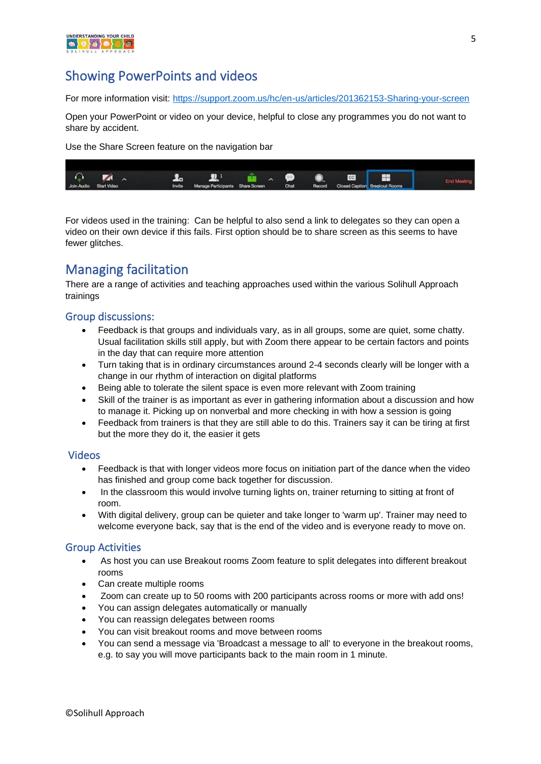

## Showing PowerPoints and videos

For more information visit:<https://support.zoom.us/hc/en-us/articles/201362153-Sharing-your-screen>

Open your PowerPoint or video on your device, helpful to close any programmes you do not want to share by accident.

Use the Share Screen feature on the navigation bar



For videos used in the training: Can be helpful to also send a link to delegates so they can open a video on their own device if this fails. First option should be to share screen as this seems to have fewer glitches.

## Managing facilitation

There are a range of activities and teaching approaches used within the various Solihull Approach trainings

#### Group discussions:

- Feedback is that groups and individuals vary, as in all groups, some are quiet, some chatty. Usual facilitation skills still apply, but with Zoom there appear to be certain factors and points in the day that can require more attention
- Turn taking that is in ordinary circumstances around 2-4 seconds clearly will be longer with a change in our rhythm of interaction on digital platforms
- Being able to tolerate the silent space is even more relevant with Zoom training
- Skill of the trainer is as important as ever in gathering information about a discussion and how to manage it. Picking up on nonverbal and more checking in with how a session is going
- Feedback from trainers is that they are still able to do this. Trainers say it can be tiring at first but the more they do it, the easier it gets

#### Videos

- Feedback is that with longer videos more focus on initiation part of the dance when the video has finished and group come back together for discussion.
- In the classroom this would involve turning lights on, trainer returning to sitting at front of room.
- With digital delivery, group can be quieter and take longer to 'warm up'. Trainer may need to welcome everyone back, say that is the end of the video and is everyone ready to move on.

#### Group Activities

- As host you can use Breakout rooms Zoom feature to split delegates into different breakout rooms
- Can create multiple rooms
- Zoom can create up to 50 rooms with 200 participants across rooms or more with add ons!
- You can assign delegates automatically or manually
- You can reassign delegates between rooms
- You can visit breakout rooms and move between rooms
- You can send a message via 'Broadcast a message to all' to everyone in the breakout rooms, e.g. to say you will move participants back to the main room in 1 minute.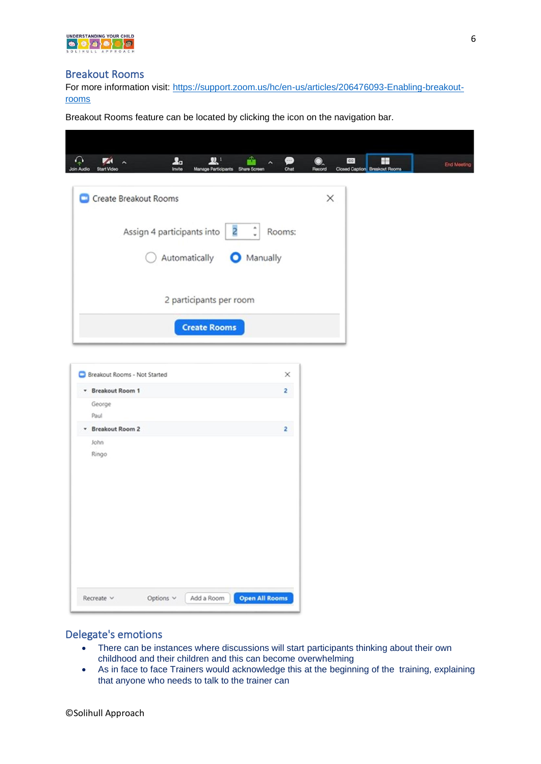

#### Breakout Rooms

For more information visit: [https://support.zoom.us/hc/en-us/articles/206476093-Enabling-breakout](https://support.zoom.us/hc/en-us/articles/206476093-Enabling-breakout-rooms)[rooms](https://support.zoom.us/hc/en-us/articles/206476093-Enabling-breakout-rooms)

Breakout Rooms feature can be located by clicking the icon on the navigation bar.

#### Delegate's emotions

- There can be instances where discussions will start participants thinking about their own childhood and their children and this can become overwhelming
- As in face to face Trainers would acknowledge this at the beginning of the training, explaining that anyone who needs to talk to the trainer can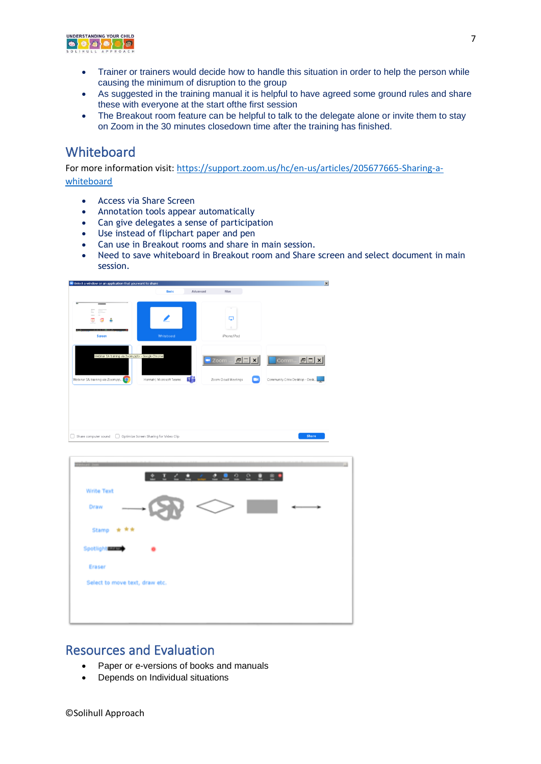

- Trainer or trainers would decide how to handle this situation in order to help the person while causing the minimum of disruption to the group
- As suggested in the training manual it is helpful to have agreed some ground rules and share these with everyone at the start ofthe first session
- The Breakout room feature can be helpful to talk to the delegate alone or invite them to stay on Zoom in the 30 minutes closedown time after the training has finished.

## **Whiteboard**

For more information visit: [https://support.zoom.us/hc/en-us/articles/205677665-Sharing-a](https://support.zoom.us/hc/en-us/articles/205677665-Sharing-a-whiteboard)[whiteboard](https://support.zoom.us/hc/en-us/articles/205677665-Sharing-a-whiteboard)

- Access via Share Screen
- Annotation tools appear automatically
- Can give delegates a sense of participation
- Use instead of flipchart paper and pen
- Can use in Breakout rooms and share in main session.
- Need to save whiteboard in Breakout room and Share screen and select document in main session.

| Select a window or an application that you want to share                                                                                                                                 |                                        |                                                                   | $\vert x \vert$                              |
|------------------------------------------------------------------------------------------------------------------------------------------------------------------------------------------|----------------------------------------|-------------------------------------------------------------------|----------------------------------------------|
|                                                                                                                                                                                          | <b>Basic</b>                           | Files<br>Advanced                                                 |                                              |
| $\overline{1}$<br>$\overline{\phantom{a}}$<br>Ξ<br>$\frac{\partial \mathcal{L}_{\mathcal{F}}(\mathcal{L}_{\mathcal{F}})}{\partial \mathcal{L}_{\mathcal{F}}(\mathcal{L}_{\mathcal{F}})}$ |                                        | ×                                                                 |                                              |
| ø                                                                                                                                                                                        |                                        | Q<br>$\circ$                                                      |                                              |
| <b>Screen</b>                                                                                                                                                                            | Whiteboard                             | iPhone/iPad                                                       |                                              |
| Webinar SA training via Zoom.ppb: - Google Chrome<br>Webinar SA training via Zoom.pp                                                                                                     | Hannah   Microsoft Teams<br>тĦ         | Zoom<br>$F =$<br>$\boldsymbol{\mathsf{x}}$<br>Zoom Cloud Meetings | Comm 日口×<br>Community Citrix Desktop - Desk. |
| Share computer sound<br>$\Box$                                                                                                                                                           | Optimize Screen Sharing for Video Clip |                                                                   | Share                                        |

| 23424222887                    |
|--------------------------------|
| <b>Write Text</b><br>Draw      |
| Stamp ★ ★★                     |
| <b>Spotlight</b>               |
| Eraser                         |
| Select to move text, draw etc. |
|                                |
|                                |

### Resources and Evaluation

- Paper or e-versions of books and manuals
- Depends on Individual situations